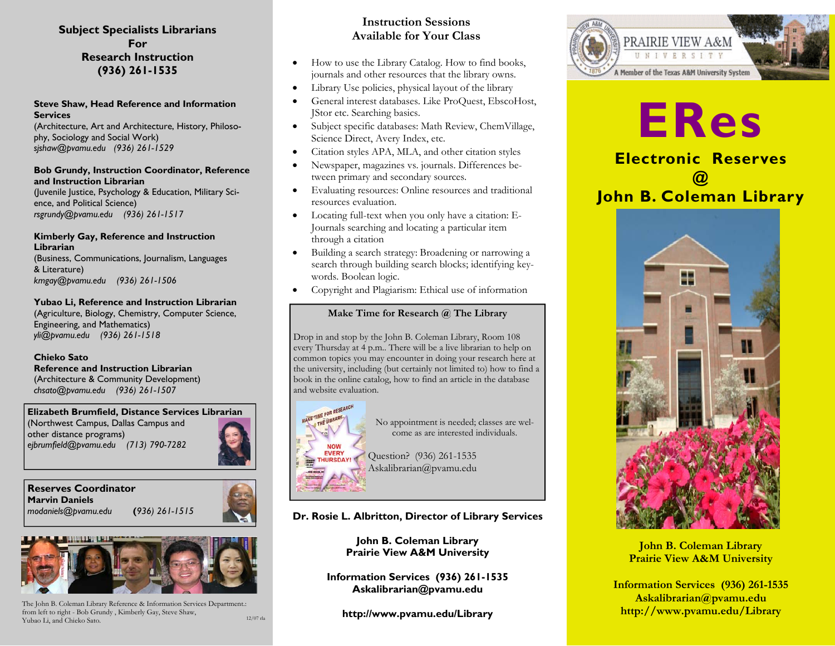### **Subject Specialists Librarians For Research Instruction (936) 261-1535**

#### **Steve Shaw, Head Reference and Information Services**

(Architecture, Art and Architecture, History, Philosophy, Sociology and Social Work) *sjshaw@pvamu.edu (936) 261-1529* 

#### **Bob Grundy, Instruction Coordinator, Reference and Instruction Librarian**

(Juvenile Justice, Psychology & Education, Military Science, and Political Science) *rsgrundy@pvamu.edu (936) 261-1517* 

#### **Kimberly Gay, Reference and Instruction Librarian**

(Business, Communications, Journalism, Languages & Literature) *kmgay@pvamu.edu (936) 261-1506* 

#### **Yubao Li, Reference and Instruction Librarian**

(Agriculture, Biology, Chemistry, Computer Science, Engineering, and Mathematics) *yli@pvamu.edu (936) 261-1518* 

#### **Chieko Sato**

**Reference and Instruction Librarian**  (Architecture & Community Development) *chsato@pvamu.edu (936) 261-1507* 

#### **Elizabeth Brumfield, Distance Services Librarian**

(Northwest Campus, Dallas Campus and other distance programs) *ejbrumfield@pvamu.edu (713) 790-7282* 

#### **Reserves Coordinator Marvin Daniels**  *modaniels@pvamu.edu* **(***936) 261-1515*





The John B. Coleman Library Reference & Information Services Department.: from left to right - Bob Grundy , Kimberly Gay, Steve Shaw, Yubao Li, and Chieko Sato.

## **Instruction Sessions Available for Your Class**

- !" How to use the Library Catalog. How to find books, journals and other resources that the library owns.
- Library Use policies, physical layout of the library
- !" General interest databases. Like ProQuest, EbscoHost, JStor etc. Searching basics.
- !" Subject specific databases: Math Review, ChemVillage, Science Direct, Avery Index, etc.
- Citation styles APA, MLA, and other citation styles
- Newspaper, magazines vs. journals. Differences between primary and secondary sources.
- Evaluating resources: Online resources and traditional resources evaluation.
- Locating full-text when you only have a citation: E-Journals searching and locating a particular item through a citation
- !" Building a search strategy: Broadening or narrowing a search through building search blocks; identifying keywords. Boolean logic.
- Copyright and Plagiarism: Ethical use of information

#### **Make Time for Research @ The Library**

Drop in and stop by the John B. Coleman Library, Room 108 every Thursday at 4 p.m.. There will be a live librarian to help on common topics you may encounter in doing your research here at the university, including (but certainly not limited to) how to find a book in the online catalog, how to find an article in the database and website evaluation.



No appointment is needed; classes are welcome as are interested individuals.

Question? (936) 261-1535 Askalibrarian@pvamu.edu

## **Dr. Rosie L. Albritton, Director of Library Services**

**John B. Coleman Library Prairie View A&M University** 

**Information Services (936) 261-1535 Askalibrarian@pvamu.edu** 

**http://www.pvamu.edu/Library** 12/07 rla



# i<br>L **ERes**

**Electronic Reserves @ John B. Coleman Library** 



**John B. Coleman Library Prairie View A&M University** 

**Information Services (936) 261-1535 Askalibrarian@pvamu.edu http://www.pvamu.edu/Library**